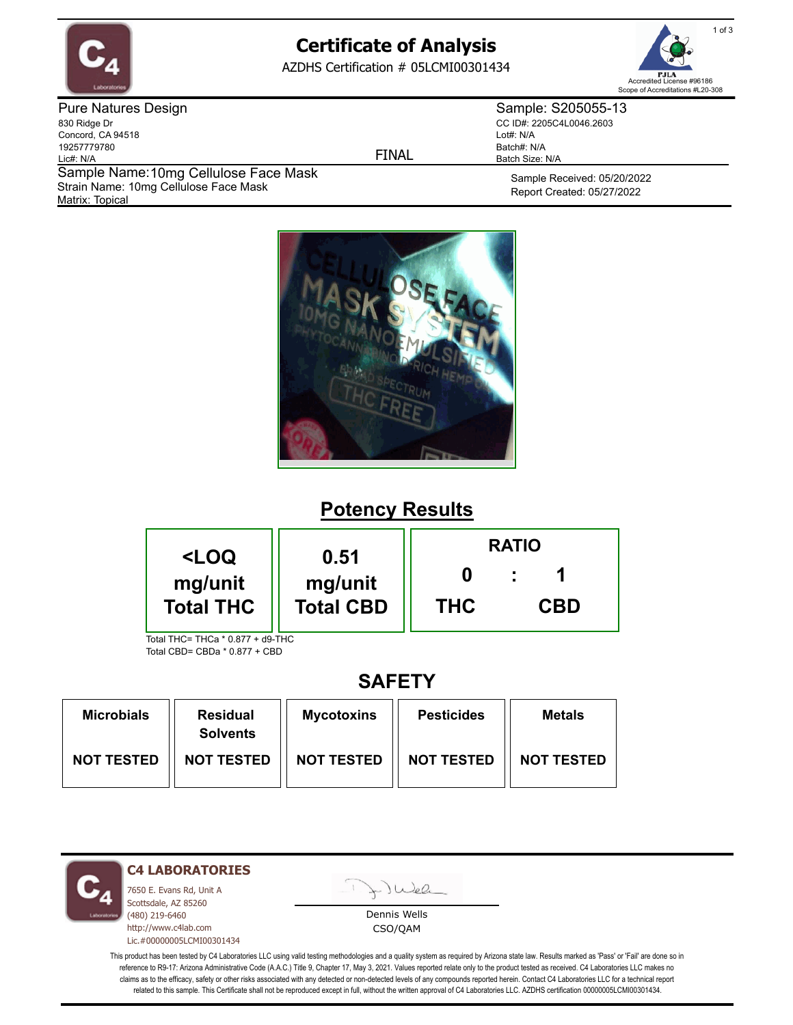

# **Certificate of Analysis**

AZDHS Certification # 05LCMI00301434



Pure Natures Design 830 Ridge Dr Concord, CA 94518 19257779780 Lic#: N/A Matrix: Topical Sample Name: 10mg Cellulose Face Mask Strain Name: 10mg Cellulose Face Mask

FINAL

Sample: S205055-13 CC ID#: 2205C4L0046.2603 Lot#: N/A Batch#: N/A Batch Size: N/A

> Sample Received: 05/20/2022 Report Created: 05/27/2022



# **Potency Results**

| <loq< th=""><th rowspan="2">0.51<br/>mg/unit<br/><b>Total CBD</b></th><th colspan="3"><b>RATIO</b></th></loq<> | 0.51<br>mg/unit<br><b>Total CBD</b> | <b>RATIO</b> |            |  |
|----------------------------------------------------------------------------------------------------------------|-------------------------------------|--------------|------------|--|
| mg/unit<br><b>Total THC</b>                                                                                    |                                     | <b>THC</b>   | <b>CBD</b> |  |
| Total THC= THCa * 0.877 + d9-THC                                                                               |                                     |              |            |  |

Total CBD= CBDa \* 0.877 + CBD

## **SAFETY**

| <b>Microbials</b> | <b>Residual</b><br><b>Solvents</b> | <b>Mycotoxins</b> | <b>Pesticides</b> | <b>Metals</b>     |
|-------------------|------------------------------------|-------------------|-------------------|-------------------|
| <b>NOT TESTED</b> | <b>NOT TESTED</b>                  | <b>NOT TESTED</b> | <b>NOT TESTED</b> | <b>NOT TESTED</b> |

**C4 LABORATORIES**

7650 E. Evans Rd, Unit A Scottsdale, AZ 85260 (480) 219-6460 http://www.c4lab.com Lic.#00000005LCMI00301434 Juea

Dennis Wells CSO/QAM

This product has been tested by C4 Laboratories LLC using valid testing methodologies and a quality system as required by Arizona state law. Results marked as 'Pass' or 'Fail' are done so in reference to R9-17: Arizona Administrative Code (A.A.C.) Title 9, Chapter 17, May 3, 2021. Values reported relate only to the product tested as received. C4 Laboratories LLC makes no claims as to the efficacy, safety or other risks associated with any detected or non-detected levels of any compounds reported herein. Contact C4 Laboratories LLC for a technical report related to this sample. This Certificate shall not be reproduced except in full, without the written approval of C4 Laboratories LLC. AZDHS certification 00000005LCMI00301434.

1 of 3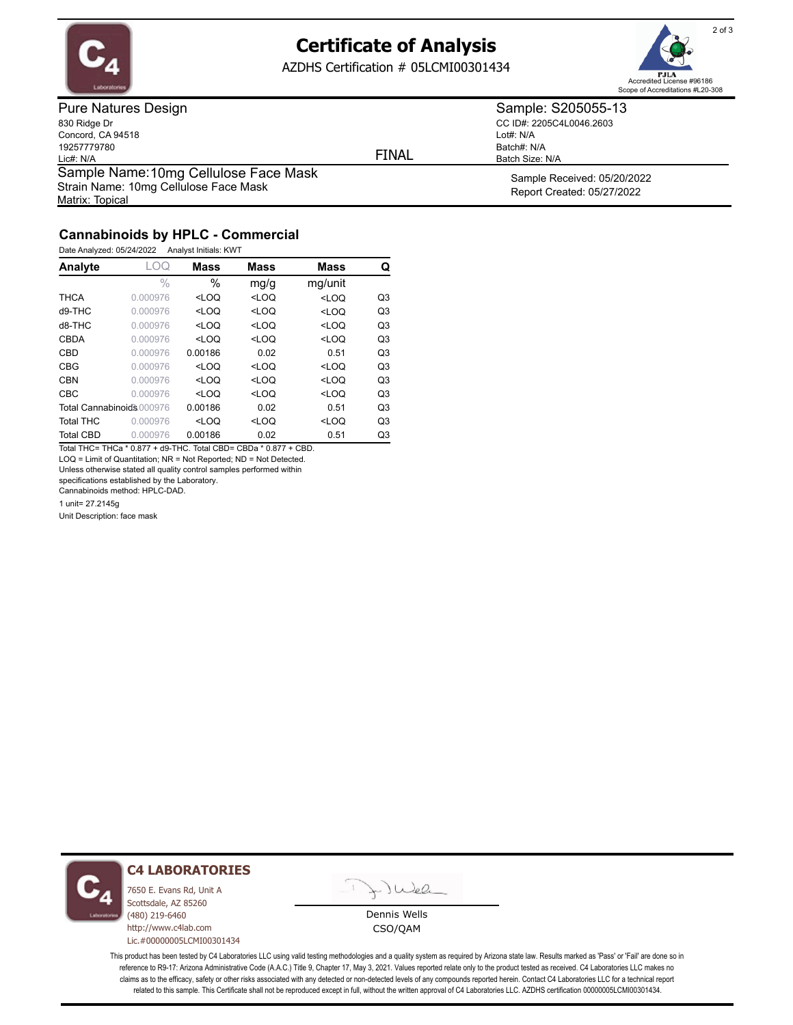

## **Certificate of Analysis**

AZDHS Certification # 05LCMI00301434



Pure Natures Design 830 Ridge Dr Concord, CA 94518 19257779780 Lic#: N/A Matrix: Topical Sample Name: 10mg Cellulose Face Mask Strain Name: 10mg Cellulose Face Mask

FINAL

Lot#: N/A

Batch#: N/A Batch Size: N/A

Sample: S205055-13 CC ID#: 2205C4L0046.2603

> Sample Received: 05/20/2022 Report Created: 05/27/2022

## **Cannabinoids by HPLC - Commercial**

Date Analyzed: 05/24/2022 Analyst Initials: KWT

| Analyte                   | LOQ           | Mass                                                                                   | <b>Mass</b>                                                | <b>Mass</b>                    | Q              |
|---------------------------|---------------|----------------------------------------------------------------------------------------|------------------------------------------------------------|--------------------------------|----------------|
|                           | $\frac{0}{0}$ | $\%$                                                                                   | mg/g                                                       | mg/unit                        |                |
| <b>THCA</b>               | 0.000976      | $<$ LOO                                                                                | $<$ LOO                                                    | $<$ LOQ                        | Q3             |
| $d9-THC$                  | 0.000976      | <loq< td=""><td><loq< td=""><td><loq< td=""><td>Q3</td></loq<></td></loq<></td></loq<> | <loq< td=""><td><loq< td=""><td>Q3</td></loq<></td></loq<> | <loq< td=""><td>Q3</td></loq<> | Q3             |
| d8-THC                    | 0.000976      | $<$ LOQ                                                                                | $<$ LOQ                                                    | $<$ LOQ                        | Q <sub>3</sub> |
| CBDA                      | 0.000976      | $<$ LOO                                                                                | $<$ LOO                                                    | $<$ LOQ                        | Q <sub>3</sub> |
| CBD                       | 0.000976      | 0.00186                                                                                | 0.02                                                       | 0.51                           | Q <sub>3</sub> |
| <b>CBG</b>                | 0.000976      | $<$ LOO                                                                                | $<$ LOQ                                                    | $<$ LOQ                        | Q <sub>3</sub> |
| <b>CBN</b>                | 0.000976      | $<$ LOO                                                                                | $<$ LOQ                                                    | $<$ LOQ                        | Q <sub>3</sub> |
| CBC                       | 0.000976      | $<$ LOO                                                                                | $<$ LOO                                                    | $<$ LOO                        | Q <sub>3</sub> |
| Total Cannabinoids 000976 |               | 0.00186                                                                                | 0.02                                                       | 0.51                           | Q <sub>3</sub> |
| <b>Total THC</b>          | 0.000976      | $<$ LOQ                                                                                | $<$ LOQ                                                    | $<$ LOQ                        | Q <sub>3</sub> |
| <b>Total CBD</b>          | 0.000976      | 0.00186                                                                                | 0.02                                                       | 0.51                           | Q3             |

Total THC= THCa \* 0.877 + d9-THC. Total CBD= CBDa \* 0.877 + CBD. LOQ = Limit of Quantitation; NR = Not Reported; ND = Not Detected.

Unless otherwise stated all quality control samples performed within

specifications established by the Laboratory.

Cannabinoids method: HPLC-DAD.

1 unit= 27.2145g

Unit Description: face mask



#### **C4 LABORATORIES**

7650 E. Evans Rd, Unit A Scottsdale, AZ 85260 (480) 219-6460 http://www.c4lab.com Lic.#00000005LCMI00301434



Dennis Wells CSO/QAM

This product has been tested by C4 Laboratories LLC using valid testing methodologies and a quality system as required by Arizona state law. Results marked as 'Pass' or 'Fail' are done so in reference to R9-17: Arizona Administrative Code (A.A.C.) Title 9, Chapter 17, May 3, 2021. Values reported relate only to the product tested as received. C4 Laboratories LLC makes no claims as to the efficacy, safety or other risks associated with any detected or non-detected levels of any compounds reported herein. Contact C4 Laboratories LLC for a technical report related to this sample. This Certificate shall not be reproduced except in full, without the written approval of C4 Laboratories LLC. AZDHS certification 00000005LCMI00301434.